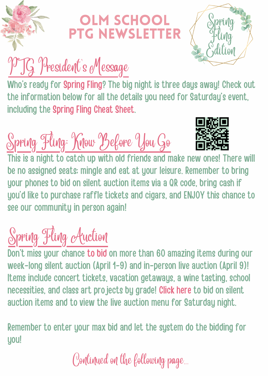

#### LM SCHOOL PTG NEWSLETTER



## PTG President's Message

Who's ready for [Spring](http://olmspringfling.com/) Fling? The big night is three days away! Check out the information below for all the details you need for Saturday's event, including the [Spring](https://olmspringfling.com/spring-fling-cheat-sheet) Fling Cheat Sheet.

Spring Fling: Know Before You Go



This is a night to catch up with old friends and make new ones! There will be no assigned seats; mingle and eat at your leisure. Remember to bring your phones to bid on silent auction items via a QR code, bring cash if you'd like to purchase raffle tickets and cigars, and ENJOY this chance to see our community in person again!

#### Spring Fling Auction

Don't miss your chance to [bid](https://olmspringfling.com/auctionanddonations) on more than 60 amazing items during our week-long silent auction (April 1-9) and in-person live auction (April 9)! Items include concert tickets, vacation getaways, a wine tasting, school necessities, and class art projects by grade! [Click](https://olmspringfling.com/auctionanddonations) here to bid on silent auction items and to view the live auction menu for Saturday night.

Remember to enter your max bid and let the system do the bidding for uou!

Continued on the following page...